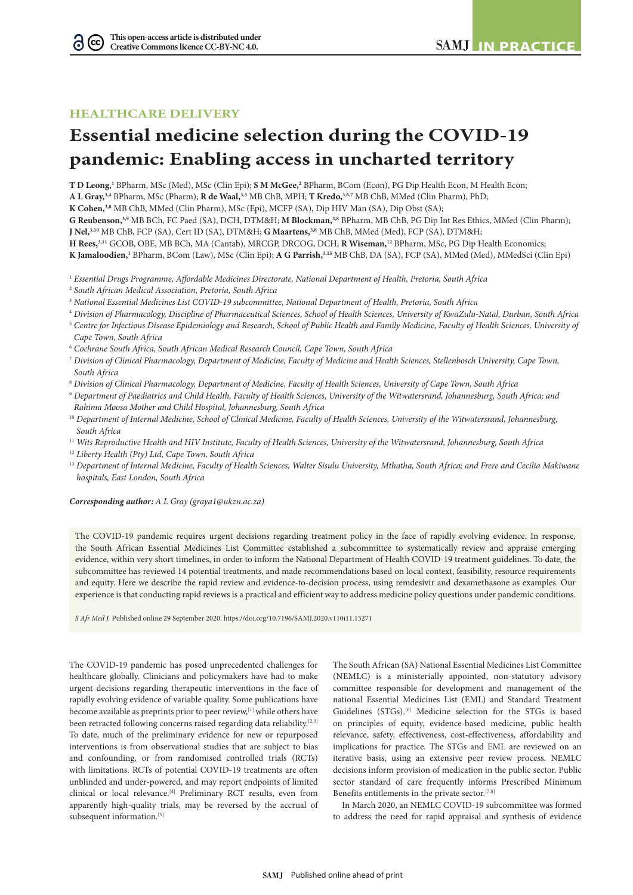# **HEALTHCARE DELIVERY**

# **Essential medicine selection during the COVID-19 pandemic: Enabling access in uncharted territory**

**T D Leong,**<sup>1</sup> BPharm, MSc (Med), MSc (Clin Epi); **S M McGee,**<sup>2</sup> BPharm, BCom (Econ), PG Dip Health Econ, M Health Econ;

**A L Gray,3,4** BPharm, MSc (Pharm); **R de Waal,3,5** MB ChB, MPH; **T Kredo,3,6,7** MB ChB, MMed (Clin Pharm), PhD;

**K Cohen,3,8** MB ChB, MMed (Clin Pharm), MSc (Epi), MCFP (SA), Dip HIV Man (SA), Dip Obst (SA);

**G Reubenson,3,9** MB BCh, FC Paed (SA), DCH, DTM&H; **M Blockman,3,8** BPharm, MB ChB, PG Dip Int Res Ethics, MMed (Clin Pharm); **J Nel,3,10** MB ChB, FCP (SA), Cert ID (SA), DTM&H; **G Maartens,3,8** MB ChB, MMed (Med), FCP (SA), DTM&H;

**H Rees,3,11** GCOB, OBE, MB BCh, MA (Cantab), MRCGP, DRCOG, DCH; **R Wiseman,12** BPharm, MSc, PG Dip Health Economics;

**K Jamaloodien,1** BPharm, BCom (Law), MSc (Clin Epi); **A G Parrish,3,13** MB ChB, DA (SA), FCP (SA), MMed (Med), MMedSci (Clin Epi)

- 1  *Essential Drugs Programme, Affordable Medicines Directorate, National Department of Health, Pretoria, South Africa*
- 2  *South African Medical Association, Pretoria, South Africa*
- 3  *National Essential Medicines List COVID-19 subcommittee, National Department of Health, Pretoria, South Africa*
- 4  *Division of Pharmacology, Discipline of Pharmaceutical Sciences, School of Health Sciences, University of KwaZulu-Natal, Durban, South Africa*
- <sup>5</sup> Centre for Infectious Disease Epidemiology and Research, School of Public Health and Family Medicine, Faculty of Health Sciences, University of *Cape Town, South Africa*
- 6  *Cochrane South Africa, South African Medical Research Council, Cape Town, South Africa*
- <sup>7</sup> *Division of Clinical Pharmacology, Department of Medicine, Faculty of Medicine and Health Sciences, Stellenbosch University, Cape Town, South Africa*
- 8  *Division of Clinical Pharmacology, Department of Medicine, Faculty of Health Sciences, University of Cape Town, South Africa*
- <sup>9</sup> *Department of Paediatrics and Child Health, Faculty of Health Sciences, University of the Witwatersrand, Johannesburg, South Africa; and Rahima Moosa Mother and Child Hospital, Johannesburg, South Africa*
- <sup>10</sup> *Department of Internal Medicine, School of Clinical Medicine, Faculty of Health Sciences, University of the Witwatersrand, Johannesburg, South Africa*
- <sup>11</sup> *Wits Reproductive Health and HIV Institute, Faculty of Health Sciences, University of the Witwatersrand, Johannesburg, South Africa* <sup>12</sup> *Liberty Health (Pty) Ltd, Cape Town, South Africa*
- <sup>13</sup> Department of Internal Medicine, Faculty of Health Sciences, Walter Sisulu University, Mthatha, South Africa; and Frere and Cecilia Makiwane *hospitals, East London, South Africa*

*Corresponding author: A L Gray (graya1@ukzn.ac.za)*

The COVID-19 pandemic requires urgent decisions regarding treatment policy in the face of rapidly evolving evidence. In response, the South African Essential Medicines List Committee established a subcommittee to systematically review and appraise emerging evidence, within very short timelines, in order to inform the National Department of Health COVID-19 treatment guidelines. To date, the subcommittee has reviewed 14 potential treatments, and made recommendations based on local context, feasibility, resource requirements and equity. Here we describe the rapid review and evidence-to-decision process, using remdesivir and dexamethasone as examples. Our experience is that conducting rapid reviews is a practical and efficient way to address medicine policy questions under pandemic conditions.

*S Afr Med J.* Published online 29 September 2020. https://doi.org/10.7196/SAMJ.2020.v110i11.15271

The COVID-19 pandemic has posed unprecedented challenges for healthcare globally. Clinicians and policymakers have had to make urgent decisions regarding therapeutic interventions in the face of rapidly evolving evidence of variable quality. Some publications have become available as preprints prior to peer review,[1] while others have been retracted following concerns raised regarding data reliability.<sup>[2,3]</sup> To date, much of the preliminary evidence for new or repurposed interventions is from observational studies that are subject to bias and confounding, or from randomised controlled trials (RCTs) with limitations. RCTs of potential COVID-19 treatments are often unblinded and under-powered, and may report endpoints of limited clinical or local relevance.[4] Preliminary RCT results, even from apparently high-quality trials, may be reversed by the accrual of subsequent information.<sup>[5]</sup>

The South African (SA) National Essential Medicines List Committee (NEMLC) is a ministerially appointed, non-statutory advisory committee responsible for development and management of the national Essential Medicines List (EML) and Standard Treatment Guidelines (STGs).<sup>[6]</sup> Medicine selection for the STGs is based on principles of equity, evidence-based medicine, public health relevance, safety, effectiveness, cost-effectiveness, affordability and implications for practice. The STGs and EML are reviewed on an iterative basis, using an extensive peer review process. NEMLC decisions inform provision of medication in the public sector. Public sector standard of care frequently informs Prescribed Minimum Benefits entitlements in the private sector.<sup>[7,8]</sup>

In March 2020, an NEMLC COVID-19 subcommittee was formed to address the need for rapid appraisal and synthesis of evidence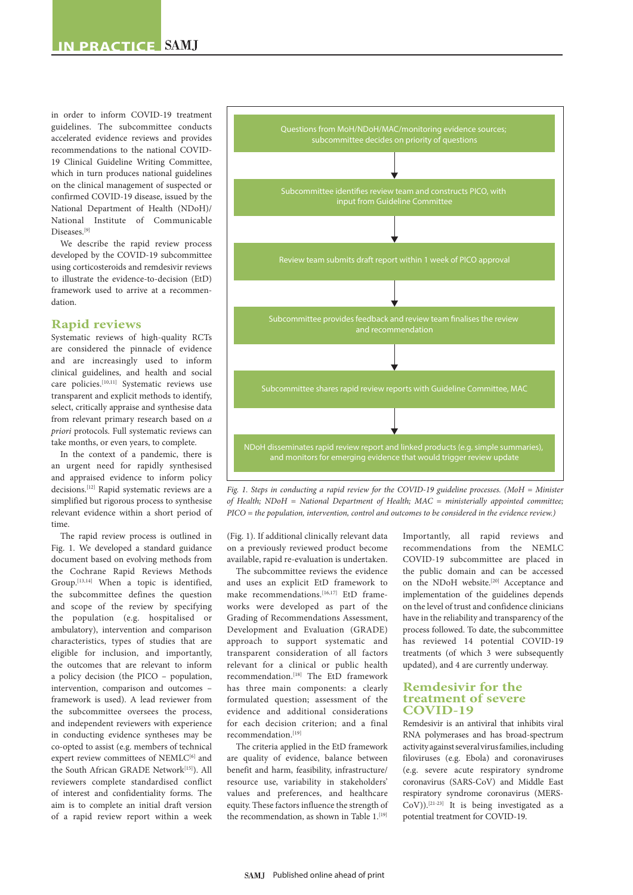in order to inform COVID-19 treatment guidelines. The subcommittee conducts accelerated evidence reviews and provides recommendations to the national COVID-19 Clinical Guideline Writing Committee, which in turn produces national guidelines on the clinical management of suspected or confirmed COVID-19 disease, issued by the National Department of Health (NDoH)/ National Institute of Communicable Diseases.<sup>[9]</sup>

We describe the rapid review process developed by the COVID-19 subcommittee using corticosteroids and remdesivir reviews to illustrate the evidence-to-decision (EtD) framework used to arrive at a recommendation.

# **Rapid reviews**

Systematic reviews of high-quality RCTs are considered the pinnacle of evidence and are increasingly used to inform clinical guidelines, and health and social care policies.<sup>[10,11]</sup> Systematic reviews use transparent and explicit methods to identify, select, critically appraise and synthesise data from relevant primary research based on *a priori* protocols. Full systematic reviews can take months, or even years, to complete.

In the context of a pandemic, there is an urgent need for rapidly synthesised and appraised evidence to inform policy decisions.<sup>[12]</sup> Rapid systematic reviews are a simplified but rigorous process to synthesise relevant evidence within a short period of time.

The rapid review process is outlined in Fig. 1. We developed a standard guidance document based on evolving methods from the Cochrane Rapid Reviews Methods Group.[13,14] When a topic is identified, the subcommittee defines the question and scope of the review by specifying the population (e.g. hospitalised or ambulatory), intervention and comparison characteristics, types of studies that are eligible for inclusion, and importantly, the outcomes that are relevant to inform a policy decision (the PICO – population, intervention, comparison and outcomes – framework is used). A lead reviewer from the subcommittee oversees the process, and independent reviewers with experience in conducting evidence syntheses may be co-opted to assist (e.g. members of technical expert review committees of NEMLC<sup>[6]</sup> and the South African GRADE Network<sup>[15]</sup>). All reviewers complete standardised conflict of interest and confidentiality forms. The aim is to complete an initial draft version of a rapid review report within a week



*Fig. 1. Steps in conducting a rapid review for the COVID-19 guideline processes. (MoH = Minister of Health; NDoH = National Department of Health; MAC = ministerially appointed committee; PICO = the population, intervention, control and outcomes to be considered in the evidence review.)*

(Fig. 1). If additional clinically relevant data on a previously reviewed product become available, rapid re-evaluation is undertaken.

The subcommittee reviews the evidence and uses an explicit EtD framework to make recommendations.<sup>[16,17]</sup> EtD frameworks were developed as part of the Grading of Recommendations Assessment, Development and Evaluation (GRADE) approach to support systematic and transparent consideration of all factors relevant for a clinical or public health recommendation.[18] The EtD framework has three main components: a clearly formulated question; assessment of the evidence and additional considerations for each decision criterion; and a final recommendation.[19]

The criteria applied in the EtD framework are quality of evidence, balance between benefit and harm, feasibility, infrastructure/ resource use, variability in stakeholders' values and preferences, and healthcare equity. These factors influence the strength of the recommendation, as shown in Table 1.<sup>[19]</sup>

Importantly, all rapid reviews and recommendations from the NEMLC COVID-19 subcommittee are placed in the public domain and can be accessed on the NDoH website.[20] Acceptance and implementation of the guidelines depends on the level of trust and confidence clinicians have in the reliability and transparency of the process followed. To date, the subcommittee has reviewed 14 potential COVID-19 treatments (of which 3 were subsequently updated), and 4 are currently underway.

### **Remdesivir for the treatment of severe COVID-19**

Remdesivir is an antiviral that inhibits viral RNA polymerases and has broad-spectrum activity against several virus families, including filoviruses (e.g. Ebola) and coronaviruses (e.g. severe acute respiratory syndrome coronavirus (SARS-CoV) and Middle East respiratory syndrome coronavirus (MERS- $CoV$ )).<sup>[21-23]</sup> It is being investigated as a potential treatment for COVID-19.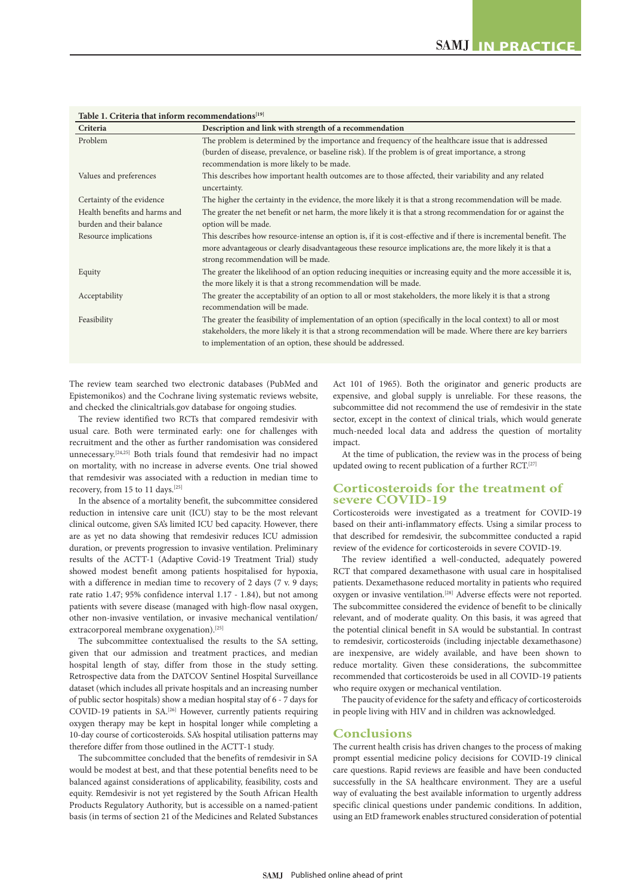| The problem is determined by the importance and frequency of the healthcare issue that is addressed                                               |
|---------------------------------------------------------------------------------------------------------------------------------------------------|
| (burden of disease, prevalence, or baseline risk). If the problem is of great importance, a strong                                                |
| recommendation is more likely to be made.                                                                                                         |
| This describes how important health outcomes are to those affected, their variability and any related<br>uncertainty.                             |
| The higher the certainty in the evidence, the more likely it is that a strong recommendation will be made.                                        |
| The greater the net benefit or net harm, the more likely it is that a strong recommendation for or against the                                    |
| option will be made.                                                                                                                              |
| This describes how resource-intense an option is, if it is cost-effective and if there is incremental benefit. The                                |
| more advantageous or clearly disadvantageous these resource implications are, the more likely it is that a<br>strong recommendation will be made. |
| The greater the likelihood of an option reducing inequities or increasing equity and the more accessible it is,                                   |
| the more likely it is that a strong recommendation will be made.                                                                                  |
| The greater the acceptability of an option to all or most stakeholders, the more likely it is that a strong<br>recommendation will be made.       |
| The greater the feasibility of implementation of an option (specifically in the local context) to all or most                                     |
| stakeholders, the more likely it is that a strong recommendation will be made. Where there are key barriers                                       |
| to implementation of an option, these should be addressed.                                                                                        |
|                                                                                                                                                   |

**Table 1. Criteria that inform recommendations[19]**

The review team searched two electronic databases (PubMed and Epistemonikos) and the Cochrane living systematic reviews website, and checked the clinicaltrials.gov database for ongoing studies.

The review identified two RCTs that compared remdesivir with usual care. Both were terminated early: one for challenges with recruitment and the other as further randomisation was considered unnecessary.[24,25] Both trials found that remdesivir had no impact on mortality, with no increase in adverse events. One trial showed that remdesivir was associated with a reduction in median time to recovery, from 15 to 11 days.[25]

In the absence of a mortality benefit, the subcommittee considered reduction in intensive care unit (ICU) stay to be the most relevant clinical outcome, given SA's limited ICU bed capacity. However, there are as yet no data showing that remdesivir reduces ICU admission duration, or prevents progression to invasive ventilation. Preliminary results of the ACTT-1 (Adaptive Covid-19 Treatment Trial) study showed modest benefit among patients hospitalised for hypoxia, with a difference in median time to recovery of 2 days (7 v. 9 days; rate ratio 1.47; 95% confidence interval 1.17 - 1.84), but not among patients with severe disease (managed with high-flow nasal oxygen, other non-invasive ventilation, or invasive mechanical ventilation/ extracorporeal membrane oxygenation).[25]

The subcommittee contextualised the results to the SA setting, given that our admission and treatment practices, and median hospital length of stay, differ from those in the study setting. Retrospective data from the DATCOV Sentinel Hospital Surveillance dataset (which includes all private hospitals and an increasing number of public sector hospitals) show a median hospital stay of 6 - 7 days for COVID-19 patients in SA.[26] However, currently patients requiring oxygen therapy may be kept in hospital longer while completing a 10-day course of corticosteroids. SA's hospital utilisation patterns may therefore differ from those outlined in the ACTT-1 study.

The subcommittee concluded that the benefits of remdesivir in SA would be modest at best, and that these potential benefits need to be balanced against considerations of applicability, feasibility, costs and equity. Remdesivir is not yet registered by the South African Health Products Regulatory Authority, but is accessible on a named-patient basis (in terms of section 21 of the Medicines and Related Substances Act 101 of 1965). Both the originator and generic products are expensive, and global supply is unreliable. For these reasons, the subcommittee did not recommend the use of remdesivir in the state sector, except in the context of clinical trials, which would generate much-needed local data and address the question of mortality impact.

At the time of publication, the review was in the process of being updated owing to recent publication of a further RCT.[27]

# **Corticosteroids for the treatment of severe COVID-19**

Corticosteroids were investigated as a treatment for COVID-19 based on their anti-inflammatory effects. Using a similar process to that described for remdesivir, the subcommittee conducted a rapid review of the evidence for corticosteroids in severe COVID-19.

The review identified a well-conducted, adequately powered RCT that compared dexamethasone with usual care in hospitalised patients. Dexamethasone reduced mortality in patients who required oxygen or invasive ventilation.[28] Adverse effects were not reported. The subcommittee considered the evidence of benefit to be clinically relevant, and of moderate quality. On this basis, it was agreed that the potential clinical benefit in SA would be substantial. In contrast to remdesivir, corticosteroids (including injectable dexamethasone) are inexpensive, are widely available, and have been shown to reduce mortality. Given these considerations, the subcommittee recommended that corticosteroids be used in all COVID-19 patients who require oxygen or mechanical ventilation.

The paucity of evidence for the safety and efficacy of corticosteroids in people living with HIV and in children was acknowledged.

#### **Conclusions**

The current health crisis has driven changes to the process of making prompt essential medicine policy decisions for COVID-19 clinical care questions. Rapid reviews are feasible and have been conducted successfully in the SA healthcare environment. They are a useful way of evaluating the best available information to urgently address specific clinical questions under pandemic conditions. In addition, using an EtD framework enables structured consideration of potential